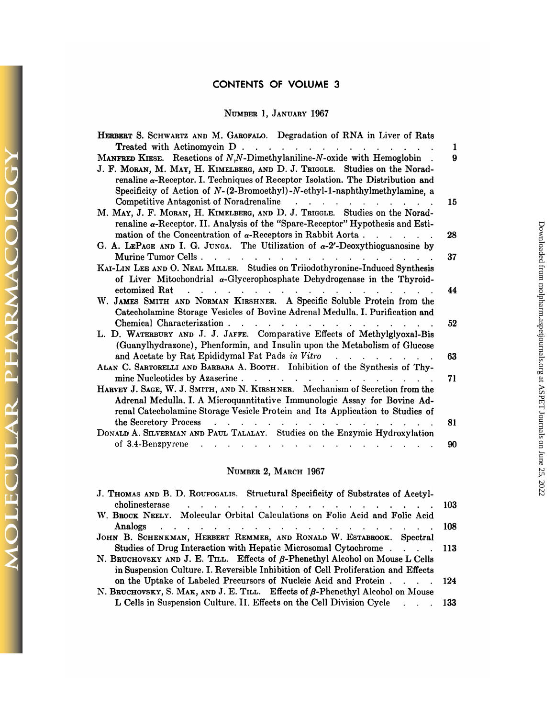# **CONTENTS OF VOLUME 3**

# **NUMBER I, .JANUARY** 1967

| NUMBER 1, JANUARY 1967                                                                                                                                                                                                                                                                                                                         |          |
|------------------------------------------------------------------------------------------------------------------------------------------------------------------------------------------------------------------------------------------------------------------------------------------------------------------------------------------------|----------|
| HERBERT S. SCHWARTZ AND M. GAROFALO. Degradation of RNA in Liver of Rats                                                                                                                                                                                                                                                                       |          |
| Treated with Actinomycin D.                                                                                                                                                                                                                                                                                                                    | 1        |
| MANFRED KIESE. Reactions of N,N-Dimethylaniline-N-oxide with Hemoglobin.<br>J. F. MORAN, M. MAY, H. KIMELBERG, AND D. J. TRIGGLE. Studies on the Norad-<br>renaline $\alpha$ -Receptor. I. Techniques of Receptor Isolation. The Distribution and<br>Specificity of Action of $N-(2-{\rm Bromoethyl})-N-{\rm ethyl}-1$ -naphthylmethylamine, a | 9        |
| M. MAY, J. F. MORAN, H. KIMELBERG, AND D. J. TRIGGLE. Studies on the Norad-<br>renaline $\alpha$ -Receptor. II. Analysis of the "Spare-Receptor" Hypothesis and Esti-                                                                                                                                                                          | 15       |
| mation of the Concentration of $\alpha$ -Receptors in Rabbit Aorta<br>G. A. LEPAGE AND I. G. JUNGA. The Utilization of $\alpha$ -2'-Deoxythioguanosine by                                                                                                                                                                                      | 28       |
| Murine Tumor Cells<br>KAI-LIN LEE AND O. NEAL MILLER. Studies on Triiodothyronine-Induced Synthesis<br>of Liver Mitochondrial $\alpha$ -Glycerophosphate Dehydrogenase in the Thyroid-                                                                                                                                                         | 37       |
| ectomized Rat<br>W. JAMES SMITH AND NORMAN KIRSHNER. A Specific Soluble Protein from the<br>Catecholamine Storage Vesicles of Bovine Adrenal Medulla. I. Purification and                                                                                                                                                                      | 44       |
| Chemical Characterization<br>L. D. WATERBURY AND J. J. JAFFE. Comparative Effects of Methylglyoxal-Bis<br>(Guanylhydrazone), Phenformin, and Insulin upon the Metabolism of Glucose                                                                                                                                                            | 52       |
| ALAN C. SARTORELLI AND BARBARA A. BOOTH. Inhibition of the Synthesis of Thy-                                                                                                                                                                                                                                                                   | 63       |
| mine Nucleotides by Azaserine                                                                                                                                                                                                                                                                                                                  | 71       |
| HARVEY J. SAGE, W. J. SMITH, AND N. KIRSHNER. Mechanism of Secretion from the<br>Adrenal Medulla. I. A Microquantitative Immunologic Assay for Bovine Ad-<br>renal Catecholamine Storage Vesicle Protein and Its Application to Studies of                                                                                                     |          |
| the Secretory Process<br>$\mathbf{r}$ , $\mathbf{r}$ , $\mathbf{r}$ , $\mathbf{r}$ , $\mathbf{r}$ , $\mathbf{r}$ , $\mathbf{r}$ , $\mathbf{r}$ , $\mathbf{r}$ , $\mathbf{r}$<br>DONALD A. SILVERMAN AND PAUL TALALAY. Studies on the Enzymic Hydroxylation<br>of 3.4-Benzpyrene                                                                | 81<br>90 |

MOLECULAR PHARMACOLOGY

# NUMBER 2, MARCH 1967

| NUMBER 2, MARCH 1967                                                                                                                                                      |            |
|---------------------------------------------------------------------------------------------------------------------------------------------------------------------------|------------|
| J. THOMAS AND B. D. ROUFOGALIS. Structural Specificity of Substrates of Acetyl-                                                                                           | -103       |
| W. BROCK NEELY. Molecular Orbital Calculations on Folic Acid and Folic Acid                                                                                               | <b>108</b> |
| JOHN B. SCHENKMAN, HERBERT REMMER, AND RONALD W. ESTABROOK. Spectral<br>Studies of Drug Interaction with Hepatic Microsomal Cytochrome 113                                |            |
| N. BRUCHOVSKY AND J. E. TILL. Effects of $\beta$ -Phenethyl Alcohol on Mouse L Cells<br>in Suspension Culture. I. Reversible Inhibition of Cell Proliferation and Effects |            |
| on the Uptake of Labeled Precursors of Nucleic Acid and Protein 124<br>N. BRUCHOVSKY, S. MAK, AND J. E. TILL. Effects of $\beta$ -Phenethyl Alcohol on Mouse              |            |
| L Cells in Suspension Culture. II. Effects on the Cell Division Cycle 133                                                                                                 |            |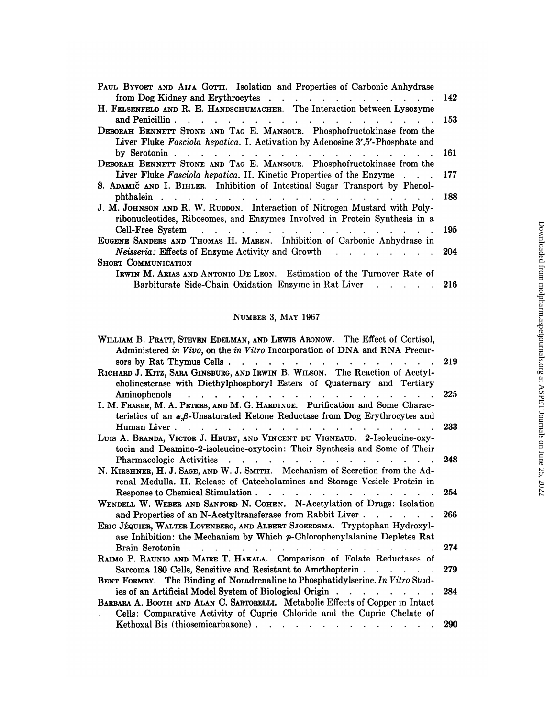| from Dog Kidney and Erythrocytes<br>142<br>and Penicillin<br>153<br>the contract of the contract of the contract of the contract of the contract of<br>Liver Fluke Fasciola hepatica. I. Activation by Adenosine 3',5'-Phosphate and<br>by Serotonin $\cdots$ $\cdots$ $\cdots$ $\cdots$ $\cdots$ $\cdots$<br>161<br>Liver Fluke Fasciola hepatica. II. Kinetic Properties of the Enzyme<br>177<br>188<br>ribonucleotides, Ribosomes, and Enzymes Involved in Protein Synthesis in a<br>Cell-Free System<br>and the contract of the contract of the contract of the contract of the contract of the contract of the contract of the contract of the contract of the contract of the contract of the contract of the contract of the contra<br>195<br>EUGENE SANDERS AND THOMAS H. MAREN. Inhibition of Carbonic Anhydrase in<br>Neisseria: Effects of Enzyme Activity and Growth<br>204<br>$\mathcal{L}(\mathbf{r},\mathbf{r})$ . The contract of the contract of the contract of the contract of the contract of the contract of the contract of the contract of the contract of the contract of the contract of the contract of the co<br>IRWIN M. ARIAS AND ANTONIO DE LEON. Estimation of the Turnover Rate of<br><b>Barbiturate Side-Chain Oxidation Enzyme in Rat Liver</b><br>-216 |                                                                              |  |
|-------------------------------------------------------------------------------------------------------------------------------------------------------------------------------------------------------------------------------------------------------------------------------------------------------------------------------------------------------------------------------------------------------------------------------------------------------------------------------------------------------------------------------------------------------------------------------------------------------------------------------------------------------------------------------------------------------------------------------------------------------------------------------------------------------------------------------------------------------------------------------------------------------------------------------------------------------------------------------------------------------------------------------------------------------------------------------------------------------------------------------------------------------------------------------------------------------------------------------------------------------------------------------------------|------------------------------------------------------------------------------|--|
|                                                                                                                                                                                                                                                                                                                                                                                                                                                                                                                                                                                                                                                                                                                                                                                                                                                                                                                                                                                                                                                                                                                                                                                                                                                                                           |                                                                              |  |
|                                                                                                                                                                                                                                                                                                                                                                                                                                                                                                                                                                                                                                                                                                                                                                                                                                                                                                                                                                                                                                                                                                                                                                                                                                                                                           |                                                                              |  |
|                                                                                                                                                                                                                                                                                                                                                                                                                                                                                                                                                                                                                                                                                                                                                                                                                                                                                                                                                                                                                                                                                                                                                                                                                                                                                           | PAUL BYVOET AND AIJA GOTTI. Isolation and Properties of Carbonic Anhydrase   |  |
|                                                                                                                                                                                                                                                                                                                                                                                                                                                                                                                                                                                                                                                                                                                                                                                                                                                                                                                                                                                                                                                                                                                                                                                                                                                                                           |                                                                              |  |
|                                                                                                                                                                                                                                                                                                                                                                                                                                                                                                                                                                                                                                                                                                                                                                                                                                                                                                                                                                                                                                                                                                                                                                                                                                                                                           | H. FELSENFELD AND R. E. HANDSCHUMACHER. The Interaction between Lysozyme     |  |
|                                                                                                                                                                                                                                                                                                                                                                                                                                                                                                                                                                                                                                                                                                                                                                                                                                                                                                                                                                                                                                                                                                                                                                                                                                                                                           |                                                                              |  |
|                                                                                                                                                                                                                                                                                                                                                                                                                                                                                                                                                                                                                                                                                                                                                                                                                                                                                                                                                                                                                                                                                                                                                                                                                                                                                           | DEBORAH BENNETT STONE AND TAG E. MANSOUR. Phosphofructokinase from the       |  |
|                                                                                                                                                                                                                                                                                                                                                                                                                                                                                                                                                                                                                                                                                                                                                                                                                                                                                                                                                                                                                                                                                                                                                                                                                                                                                           |                                                                              |  |
|                                                                                                                                                                                                                                                                                                                                                                                                                                                                                                                                                                                                                                                                                                                                                                                                                                                                                                                                                                                                                                                                                                                                                                                                                                                                                           |                                                                              |  |
|                                                                                                                                                                                                                                                                                                                                                                                                                                                                                                                                                                                                                                                                                                                                                                                                                                                                                                                                                                                                                                                                                                                                                                                                                                                                                           | DEBORAH BENNETT STONE AND TAG E. MANSOUR. Phosphofructokinase from the       |  |
|                                                                                                                                                                                                                                                                                                                                                                                                                                                                                                                                                                                                                                                                                                                                                                                                                                                                                                                                                                                                                                                                                                                                                                                                                                                                                           |                                                                              |  |
|                                                                                                                                                                                                                                                                                                                                                                                                                                                                                                                                                                                                                                                                                                                                                                                                                                                                                                                                                                                                                                                                                                                                                                                                                                                                                           | S. ADAMIC AND I. BIHLER. Inhibition of Intestinal Sugar Transport by Phenol- |  |
|                                                                                                                                                                                                                                                                                                                                                                                                                                                                                                                                                                                                                                                                                                                                                                                                                                                                                                                                                                                                                                                                                                                                                                                                                                                                                           |                                                                              |  |
|                                                                                                                                                                                                                                                                                                                                                                                                                                                                                                                                                                                                                                                                                                                                                                                                                                                                                                                                                                                                                                                                                                                                                                                                                                                                                           | J. M. JOHNSON AND R. W. RUDDON. Interaction of Nitrogen Mustard with Poly-   |  |
|                                                                                                                                                                                                                                                                                                                                                                                                                                                                                                                                                                                                                                                                                                                                                                                                                                                                                                                                                                                                                                                                                                                                                                                                                                                                                           |                                                                              |  |
|                                                                                                                                                                                                                                                                                                                                                                                                                                                                                                                                                                                                                                                                                                                                                                                                                                                                                                                                                                                                                                                                                                                                                                                                                                                                                           |                                                                              |  |
|                                                                                                                                                                                                                                                                                                                                                                                                                                                                                                                                                                                                                                                                                                                                                                                                                                                                                                                                                                                                                                                                                                                                                                                                                                                                                           |                                                                              |  |
|                                                                                                                                                                                                                                                                                                                                                                                                                                                                                                                                                                                                                                                                                                                                                                                                                                                                                                                                                                                                                                                                                                                                                                                                                                                                                           |                                                                              |  |
|                                                                                                                                                                                                                                                                                                                                                                                                                                                                                                                                                                                                                                                                                                                                                                                                                                                                                                                                                                                                                                                                                                                                                                                                                                                                                           | <b>SHORT COMMUNICATION</b>                                                   |  |
|                                                                                                                                                                                                                                                                                                                                                                                                                                                                                                                                                                                                                                                                                                                                                                                                                                                                                                                                                                                                                                                                                                                                                                                                                                                                                           |                                                                              |  |
|                                                                                                                                                                                                                                                                                                                                                                                                                                                                                                                                                                                                                                                                                                                                                                                                                                                                                                                                                                                                                                                                                                                                                                                                                                                                                           |                                                                              |  |
|                                                                                                                                                                                                                                                                                                                                                                                                                                                                                                                                                                                                                                                                                                                                                                                                                                                                                                                                                                                                                                                                                                                                                                                                                                                                                           |                                                                              |  |

# NUMBER 3, MAY 1967

| NUMBER 3, MAY 1967                                                                                                                                                                                                                                                             |     |
|--------------------------------------------------------------------------------------------------------------------------------------------------------------------------------------------------------------------------------------------------------------------------------|-----|
| WILLIAM B. PRATT, STEVEN EDELMAN, AND LEWIS ARONOW. The Effect of Cortisol,<br>Administered in Vivo, on the in Vitro Incorporation of DNA and RNA Precur-<br>sors by Rat Thymus Cells                                                                                          | 219 |
| RICHARD J. KITZ, SARA GINSBURG, AND IRWIN B. WILSON. The Reaction of Acetyl-<br>cholinesterase with Diethylphosphoryl Esters of Quaternary and Tertiary<br>Aminophenols                                                                                                        | 225 |
| I. M. FRASER, M. A. PETERS, AND M. G. HARDINGE. Purification and Some Charac-<br>teristics of an $\alpha,\beta$ -Unsaturated Ketone Reductase from Dog Erythrocytes and                                                                                                        |     |
| Human Liver.<br>LUIS A. BRANDA, VICTOR J. HRUBY, AND VINCENT DU VIGNEAUD. 2-Isoleucine-oxy-<br>tocin and Deamino-2-isoleucine-oxytocin: Their Synthesis and Some of Their                                                                                                      | 233 |
| Pharmacologic Activities<br>. The second contract is a second contract of the second contract of $\mathcal{A}$<br>N. KIRSHNER, H. J. SAGE, AND W. J. SMITH. Mechanism of Secretion from the Ad-<br>renal Medulla. II. Release of Catecholamines and Storage Vesicle Protein in | 248 |
| Response to Chemical Stimulation<br>$\mathbf{r}$ , $\mathbf{r}$ , $\mathbf{r}$ , $\mathbf{r}$ , $\mathbf{r}$ , $\mathbf{r}$ , $\mathbf{r}$<br>WENDELL W. WEBER AND SANFORD N. COHEN. N-Acetylation of Drugs: Isolation                                                         | 254 |
| and Properties of an N-Acetyltransferase from Rabbit Liver<br>ERIC JÉQUIER, WALTER LOVENBERG, AND ALBERT SJOERDSMA. Tryptophan Hydroxyl-<br>ase Inhibition: the Mechanism by Which p-Chlorophenylalanine Depletes Rat                                                          | 266 |
| Brain Serotonin<br>$\mathbf{r}$ and $\mathbf{r}$ and $\mathbf{r}$ and $\mathbf{r}$<br>RAIMO P. RAUNIO AND MAIRE T. HAKALA. Comparison of Folate Reductases of                                                                                                                  | 274 |
| Sarcoma 180 Cells, Sensitive and Resistant to Amethopterin.<br>$\sim$ $\sim$ $\sim$ $\sim$ $\sim$<br>BENT FORMBY. The Binding of Noradrenaline to Phosphatidylserine. In Vitro Stud-                                                                                           | 279 |
| ies of an Artificial Model System of Biological Origin<br>BARBARA A. BOOTH AND ALAN C. SARTORELLI. Metabolic Effects of Copper in Intact<br>Cells: Comparative Activity of Cupric Chloride and the Cupric Chelate of                                                           | 284 |
| Kethoxal Bis (thiosemicarbazone).<br>and the contract of the contract of the contract of the contract of the contract of the contract of the contract of the contract of the contract of the contract of the contract of the contract of the contract of the contra            | 290 |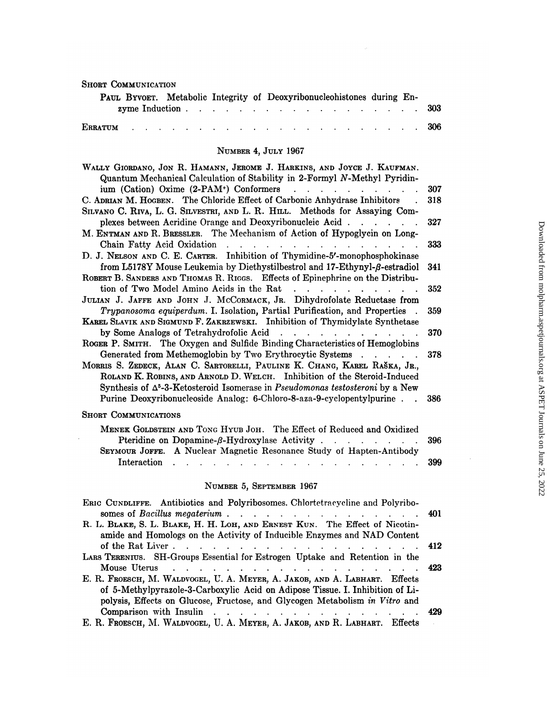| <b>SHORT COMMUNICATION</b>                                                                                                                                                                                                                                                                                                                        |     |
|---------------------------------------------------------------------------------------------------------------------------------------------------------------------------------------------------------------------------------------------------------------------------------------------------------------------------------------------------|-----|
| PAUL BYVOET. Metabolic Integrity of Deoxyribonucleohistones during En-<br>zyme Induction.<br>$\mathcal{A}=\mathcal{A}=\mathcal{A}=\mathcal{A}=\mathcal{A}=\mathcal{A}$ .<br>$\mathbf{r} = \mathbf{r} \times \mathbf{r}$ . The set of $\mathbf{r} = \mathbf{r} \times \mathbf{r}$                                                                  | 303 |
| <b>ERRATUM</b>                                                                                                                                                                                                                                                                                                                                    | 306 |
| NUMBER 4, JULY 1967                                                                                                                                                                                                                                                                                                                               |     |
| WALLY GIORDANO, JON R. HAMANN, JEROME J. HARKINS, AND JOYCE J. KAUFMAN.<br>Quantum Mechanical Calculation of Stability in 2-Formyl N-Methyl Pyridin-                                                                                                                                                                                              |     |
| ium (Cation) Oxime (2-PAM <sup>+</sup> ) Conformers<br>and a strong control of the state of                                                                                                                                                                                                                                                       | 307 |
| C. ADRIAN M. HOGBEN. The Chloride Effect of Carbonic Anhydrase Inhibitors<br>SILVANO C. RIVA, L. G. SILVESTRI, AND L. R. HILL. Methods for Assaying Com-                                                                                                                                                                                          | 318 |
| plexes between Acridine Orange and Deoxyribonucleic Acid.<br>$\mathbf{r}$ , $\mathbf{r}$ , $\mathbf{r}$ , $\mathbf{r}$<br>M. ENTMAN AND R. BRESSLER. The Mechanism of Action of Hypoglycin on Long-                                                                                                                                               | 327 |
| Chain Fatty Acid Oxidation<br><u>in the second contract of the second contract of the second contract of the second contract of the second contract of the second contract of the second contract of the second contract of the second contract of the second </u><br>D. J. NELSON AND C. E. CARTER. Inhibition of Thymidine-5'-monophosphokinase | 333 |
| from L5178Y Mouse Leukemia by Diethystilbestrol and 17-Ethynyl- $\beta$ -estradiol                                                                                                                                                                                                                                                                | 341 |
| ROBERT B. SANDERS AND THOMAS R. RIGGS. Effects of Epinephrine on the Distribu-<br>tion of Two Model Amino Acids in the Rat<br>$\mathcal{L}^{\text{max}}$ and $\mathcal{L}^{\text{max}}$                                                                                                                                                           | 352 |
| JULIAN J. JAFFE AND JOHN J. MCCORMACK, JR. Dihydrofolate Reductase from                                                                                                                                                                                                                                                                           |     |
| Trypanosoma equiperdum. I. Isolation, Partial Purification, and Properties<br>KAREL SLAVIK AND SIGMUND F. ZAKRZEWSKI. Inhibition of Thymidylate Synthetase                                                                                                                                                                                        | 359 |
| by Some Analogs of Tetrahydrofolic Acid<br><u>.</u><br>ROGER P. SMITH. The Oxygen and Sulfide Binding Characteristics of Hemoglobins                                                                                                                                                                                                              | 370 |
| Generated from Methemoglobin by Two Erythrocytic Systems<br>MORRIS S. ZEDECK, ALAN C. SARTORELLI, PAULINE K. CHANG, KAREL RAŠKA, JR.,<br>ROLAND K. ROBINS, AND ARNOLD D. WELCH. Inhibition of the Steroid-Induced<br>Synthesis of $\Delta^5$ -3-Ketosteroid Isomerase in Pseudomonas testosteroni by a New                                        | 378 |
| Purine Deoxyribonucleoside Analog: 6-Chloro-8-aza-9-cyclopentylpurine                                                                                                                                                                                                                                                                             | 386 |
| <b>SHORT COMMUNICATIONS</b>                                                                                                                                                                                                                                                                                                                       |     |
| MENEK GOLDSTEIN AND TONG HYUB JOH. The Effect of Reduced and Oxidized<br>Pteridine on Dopamine- $\beta$ -Hydroxylase Activity.<br>and the company of the company<br>SEYMOUR JOFFE. A Nuclear Magnetic Resonance Study of Hapten-Antibody                                                                                                          | 396 |

# Ear Magnetic Resonance Study<br>
NUMBER 5, SEPTEMBER 1967<br>
NUMBER 5, SEPTEMBER 1967

SEYMOUR JOFFE. <sup>A</sup> Nuclear Magnetic Resonance Study of Hapten-Antibody

|                                                                                                                                                                                                                                             | 399 |
|---------------------------------------------------------------------------------------------------------------------------------------------------------------------------------------------------------------------------------------------|-----|
| NUMBER 5, SEPTEMBER 1967                                                                                                                                                                                                                    |     |
| ERIC CUNDLIFFE. Antibiotics and Polyribosomes. Chlortetracycline and Polyribo-                                                                                                                                                              |     |
| somes of Bacillus megaterium 401                                                                                                                                                                                                            |     |
| R. L. BLAKE, S. L. BLAKE, H. H. LOH, AND ERNEST KUN. The Effect of Nicotin-<br>amide and Homologs on the Activity of Inducible Enzymes and NAD Content                                                                                      |     |
| of the Rat Liver 412                                                                                                                                                                                                                        |     |
| LARS TERENIUS. SH-Groups Essential for Estrogen Uptake and Retention in the                                                                                                                                                                 |     |
| Mouse Uterus received a receive receive receive a receive receive a receive receive receive a receive receive                                                                                                                               |     |
| E. R. FROESCH, M. WALDVOGEL, U. A. MEYER, A. JAKOB, AND A. LABHART. Effects<br>of 5-Methylpyrazole-3-Carboxylic Acid on Adipose Tissue. I. Inhibition of Li-<br>polysis, Effects on Glucose, Fructose, and Glycogen Metabolism in Vitro and |     |
| Comparison with Insulin 429                                                                                                                                                                                                                 |     |
| E. R. FROESCH, M. WALDVOGEL, U. A. MEYER, A. JAKOB, AND R. LABHART. Effects                                                                                                                                                                 |     |
|                                                                                                                                                                                                                                             |     |

 $\sim$